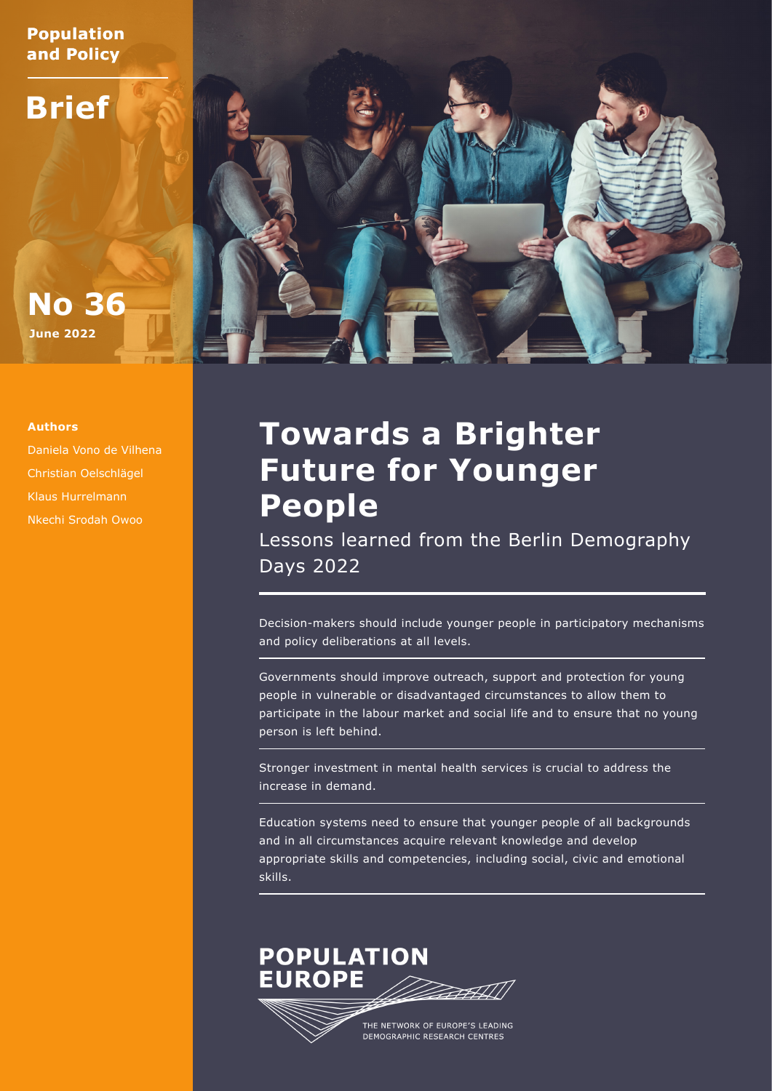**Population and Policy**

**Brief**





Daniela Vono de Vilhena Christian Oelschlägel Klaus Hurrelmann Nkechi Srodah Owoo

# **Towards a Brighter Future for Younger People**

Lessons learned from the Berlin Demography Days 2022

Decision-makers should include younger people in participatory mechanisms and policy deliberations at all levels.

Governments should improve outreach, support and protection for young people in vulnerable or disadvantaged circumstances to allow them to participate in the labour market and social life and to ensure that no young person is left behind.

Stronger investment in mental health services is crucial to address the increase in demand.

Education systems need to ensure that younger people of all backgrounds and in all circumstances acquire relevant knowledge and develop appropriate skills and competencies, including social, civic and emotional skills.

## **POPULATION EUROPE**

THE NETWORK OF EUROPE'S LEADING DEMOGRAPHIC RESEARCH CENTRES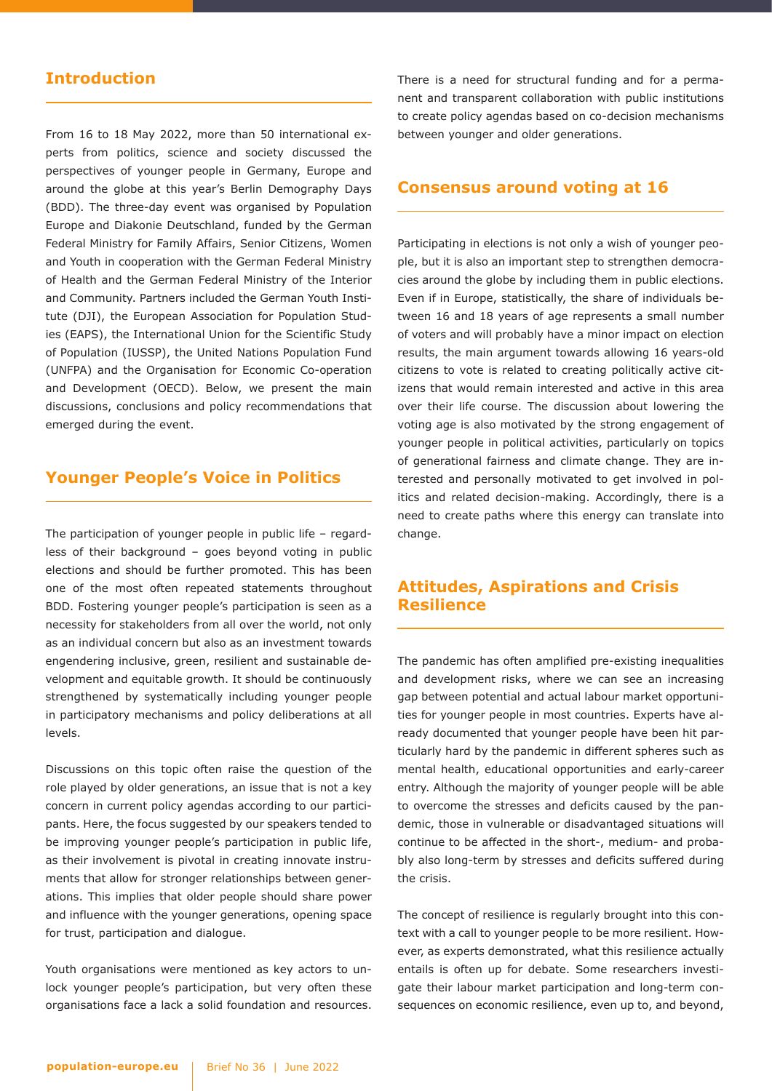## **Introduction**

From 16 to 18 May 2022, more than 50 international experts from politics, science and society discussed the perspectives of younger people in Germany, Europe and around the globe at this year's Berlin Demography Days (BDD). The three-day event was organised by Population Europe and Diakonie Deutschland, funded by the German Federal Ministry for Family Affairs, Senior Citizens, Women and Youth in cooperation with the German Federal Ministry of Health and the German Federal Ministry of the Interior and Community. Partners included the German Youth Institute (DJI), the European Association for Population Studies (EAPS), the International Union for the Scientific Study of Population (IUSSP), the United Nations Population Fund (UNFPA) and the Organisation for Economic Co-operation and Development (OECD). Below, we present the main discussions, conclusions and policy recommendations that emerged during the event.

## **Younger People's Voice in Politics**

The participation of younger people in public life – regardless of their background – goes beyond voting in public elections and should be further promoted. This has been one of the most often repeated statements throughout BDD. Fostering younger people's participation is seen as a necessity for stakeholders from all over the world, not only as an individual concern but also as an investment towards engendering inclusive, green, resilient and sustainable development and equitable growth. It should be continuously strengthened by systematically including younger people in participatory mechanisms and policy deliberations at all levels.

Discussions on this topic often raise the question of the role played by older generations, an issue that is not a key concern in current policy agendas according to our participants. Here, the focus suggested by our speakers tended to be improving younger people's participation in public life, as their involvement is pivotal in creating innovate instruments that allow for stronger relationships between generations. This implies that older people should share power and influence with the younger generations, opening space for trust, participation and dialogue.

Youth organisations were mentioned as key actors to unlock younger people's participation, but very often these organisations face a lack a solid foundation and resources. There is a need for structural funding and for a permanent and transparent collaboration with public institutions to create policy agendas based on co-decision mechanisms between younger and older generations.

#### **Consensus around voting at 16**

Participating in elections is not only a wish of younger people, but it is also an important step to strengthen democracies around the globe by including them in public elections. Even if in Europe, statistically, the share of individuals between 16 and 18 years of age represents a small number of voters and will probably have a minor impact on election results, the main argument towards allowing 16 years-old citizens to vote is related to creating politically active citizens that would remain interested and active in this area over their life course. The discussion about lowering the voting age is also motivated by the strong engagement of younger people in political activities, particularly on topics of generational fairness and climate change. They are interested and personally motivated to get involved in politics and related decision-making. Accordingly, there is a need to create paths where this energy can translate into change.

### **Attitudes, Aspirations and Crisis Resilience**

The pandemic has often amplified pre-existing inequalities and development risks, where we can see an increasing gap between potential and actual labour market opportunities for younger people in most countries. Experts have already documented that younger people have been hit particularly hard by the pandemic in different spheres such as mental health, educational opportunities and early-career entry. Although the majority of younger people will be able to overcome the stresses and deficits caused by the pandemic, those in vulnerable or disadvantaged situations will continue to be affected in the short-, medium- and probably also long-term by stresses and deficits suffered during the crisis.

The concept of resilience is regularly brought into this context with a call to younger people to be more resilient. However, as experts demonstrated, what this resilience actually entails is often up for debate. Some researchers investigate their labour market participation and long-term consequences on economic resilience, even up to, and beyond,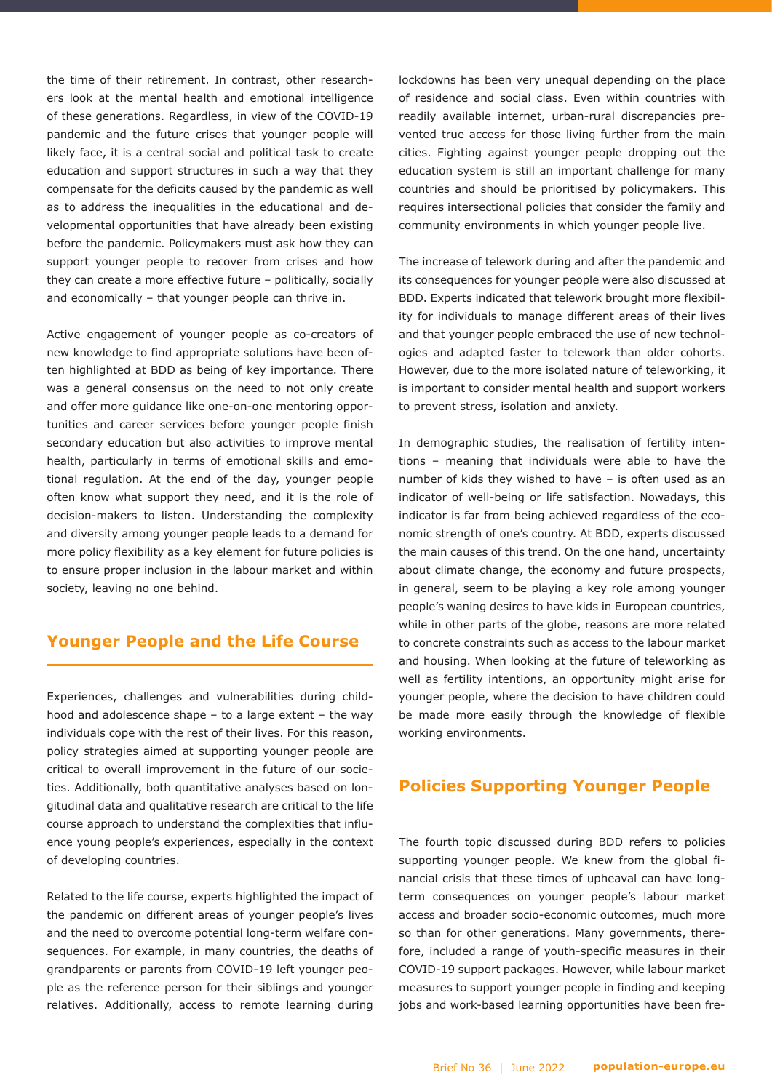the time of their retirement. In contrast, other researchers look at the mental health and emotional intelligence of these generations. Regardless, in view of the COVID-19 pandemic and the future crises that younger people will likely face, it is a central social and political task to create education and support structures in such a way that they compensate for the deficits caused by the pandemic as well as to address the inequalities in the educational and developmental opportunities that have already been existing before the pandemic. Policymakers must ask how they can support younger people to recover from crises and how they can create a more effective future – politically, socially and economically – that younger people can thrive in.

Active engagement of younger people as co-creators of new knowledge to find appropriate solutions have been often highlighted at BDD as being of key importance. There was a general consensus on the need to not only create and offer more guidance like one-on-one mentoring opportunities and career services before younger people finish secondary education but also activities to improve mental health, particularly in terms of emotional skills and emotional regulation. At the end of the day, younger people often know what support they need, and it is the role of decision-makers to listen. Understanding the complexity and diversity among younger people leads to a demand for more policy flexibility as a key element for future policies is to ensure proper inclusion in the labour market and within society, leaving no one behind.

#### **Younger People and the Life Course**

Experiences, challenges and vulnerabilities during childhood and adolescence shape – to a large extent – the way individuals cope with the rest of their lives. For this reason, policy strategies aimed at supporting younger people are critical to overall improvement in the future of our societies. Additionally, both quantitative analyses based on longitudinal data and qualitative research are critical to the life course approach to understand the complexities that influence young people's experiences, especially in the context of developing countries.

Related to the life course, experts highlighted the impact of the pandemic on different areas of younger people's lives and the need to overcome potential long-term welfare consequences. For example, in many countries, the deaths of grandparents or parents from COVID-19 left younger people as the reference person for their siblings and younger relatives. Additionally, access to remote learning during

lockdowns has been very unequal depending on the place of residence and social class. Even within countries with readily available internet, urban-rural discrepancies prevented true access for those living further from the main cities. Fighting against younger people dropping out the education system is still an important challenge for many countries and should be prioritised by policymakers. This requires intersectional policies that consider the family and community environments in which younger people live.

The increase of telework during and after the pandemic and its consequences for younger people were also discussed at BDD. Experts indicated that telework brought more flexibility for individuals to manage different areas of their lives and that younger people embraced the use of new technologies and adapted faster to telework than older cohorts. However, due to the more isolated nature of teleworking, it is important to consider mental health and support workers to prevent stress, isolation and anxiety.

In demographic studies, the realisation of fertility intentions – meaning that individuals were able to have the number of kids they wished to have – is often used as an indicator of well-being or life satisfaction. Nowadays, this indicator is far from being achieved regardless of the economic strength of one's country. At BDD, experts discussed the main causes of this trend. On the one hand, uncertainty about climate change, the economy and future prospects, in general, seem to be playing a key role among younger people's waning desires to have kids in European countries, while in other parts of the globe, reasons are more related to concrete constraints such as access to the labour market and housing. When looking at the future of teleworking as well as fertility intentions, an opportunity might arise for younger people, where the decision to have children could be made more easily through the knowledge of flexible working environments.

#### **Policies Supporting Younger People**

The fourth topic discussed during BDD refers to policies supporting younger people. We knew from the global financial crisis that these times of upheaval can have longterm consequences on younger people's labour market access and broader socio-economic outcomes, much more so than for other generations. Many governments, therefore, included a range of youth-specific measures in their COVID-19 support packages. However, while labour market measures to support younger people in finding and keeping jobs and work-based learning opportunities have been fre